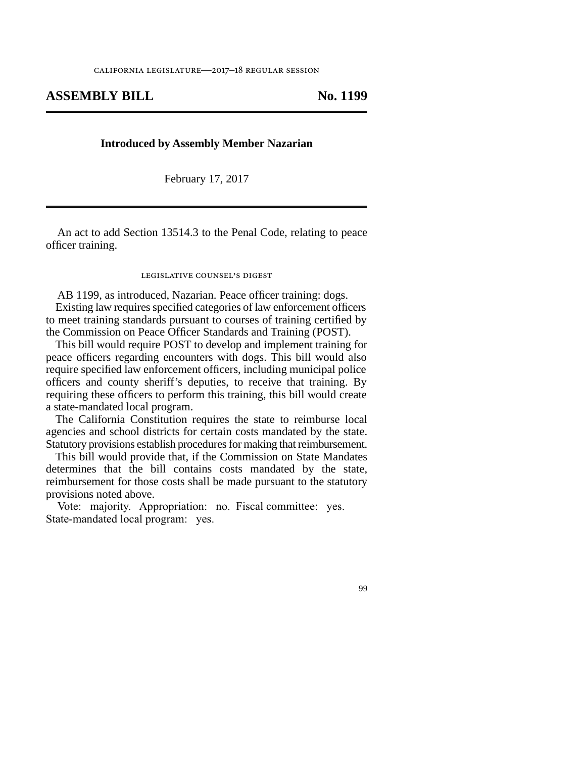## **ASSEMBLY BILL No. 1199**

## **Introduced by Assembly Member Nazarian**

February 17, 2017

An act to add Section 13514.3 to the Penal Code, relating to peace officer training.

## legislative counsel's digest

AB 1199, as introduced, Nazarian. Peace officer training: dogs. Existing law requires specified categories of law enforcement officers to meet training standards pursuant to courses of training certified by the Commission on Peace Officer Standards and Training (POST).

This bill would require POST to develop and implement training for peace officers regarding encounters with dogs. This bill would also require specified law enforcement officers, including municipal police officers and county sheriff's deputies, to receive that training. By requiring these officers to perform this training, this bill would create a state-mandated local program.

The California Constitution requires the state to reimburse local agencies and school districts for certain costs mandated by the state. Statutory provisions establish procedures for making that reimbursement.

This bill would provide that, if the Commission on State Mandates determines that the bill contains costs mandated by the state, reimbursement for those costs shall be made pursuant to the statutory provisions noted above.

Vote: majority. Appropriation: no. Fiscal committee: yes. State-mandated local program: yes.

99